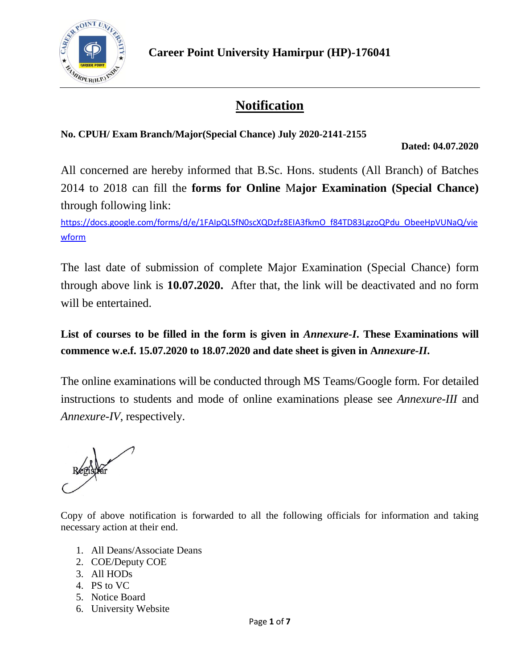

# **Notification**

**No. CPUH/ Exam Branch/Major(Special Chance) July 2020-2141-2155** 

**Dated: 04.07.2020**

All concerned are hereby informed that B.Sc. Hons. students (All Branch) of Batches 2014 to 2018 can fill the **forms for Online** M**ajor Examination (Special Chance)** through following link:

[https://docs.google.com/forms/d/e/1FAIpQLSfN0scXQDzfz8EIA3fkmO\\_f84TD83LgzoQPdu\\_ObeeHpVUNaQ/vie](https://docs.google.com/forms/d/e/1FAIpQLSfN0scXQDzfz8EIA3fkmO_f84TD83LgzoQPdu_ObeeHpVUNaQ/viewform) [wform](https://docs.google.com/forms/d/e/1FAIpQLSfN0scXQDzfz8EIA3fkmO_f84TD83LgzoQPdu_ObeeHpVUNaQ/viewform)

The last date of submission of complete Major Examination (Special Chance) form through above link is **10.07.2020.** After that, the link will be deactivated and no form will be entertained.

List of courses to be filled in the form is given in *Annexure-I*. These Examinations will **commence w.e.f. 15.07.2020 to 18.07.2020 and date sheet is given in A***nnexure-II***.**

The online examinations will be conducted through MS Teams/Google form. For detailed instructions to students and mode of online examinations please see *Annexure-III* and *Annexure-IV*, respectively.

Copy of above notification is forwarded to all the following officials for information and taking necessary action at their end.

- 1. All Deans/Associate Deans
- 2. COE/Deputy COE
- 3. All HODs
- 4. PS to VC
- 5. Notice Board
- 6. University Website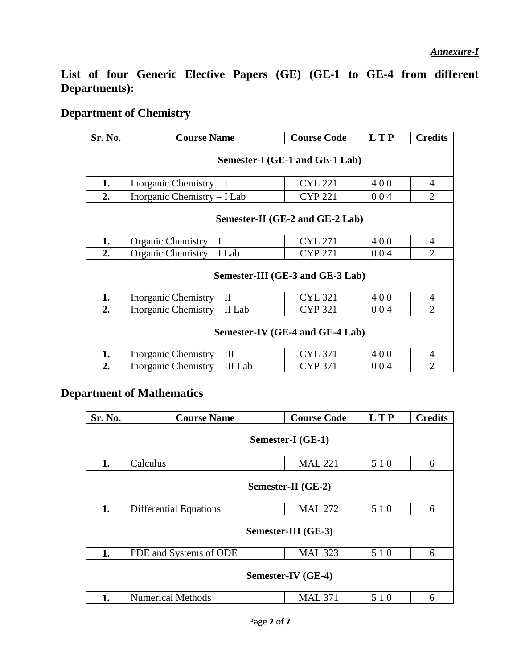**List of four Generic Elective Papers (GE) (GE-1 to GE-4 from different Departments):** 

### **Department of Chemistry**

| Sr. No. | <b>Course Name</b>                             | <b>Course Code</b> | L T P | <b>Credits</b>           |
|---------|------------------------------------------------|--------------------|-------|--------------------------|
|         | Semester-I (GE-1 and GE-1 Lab)                 |                    |       |                          |
| 1.      | Inorganic Chemistry $-I$                       | 400                | 4     |                          |
| 2.      | Inorganic Chemistry – I Lab                    | <b>CYP 221</b>     | 004   | 2                        |
|         | Semester-II (GE-2 and GE-2 Lab)                |                    |       |                          |
| 1.      | Organic Chemistry $-I$                         | <b>CYL 271</b>     | 400   | 4                        |
| 2.      | Organic Chemistry - I Lab                      | <b>CYP 271</b>     | 004   | $\overline{2}$           |
|         | Semester-III (GE-3 and GE-3 Lab)               |                    |       |                          |
| 1.      | Inorganic Chemistry $-$ II                     | <b>CYL 321</b>     | 400   | $\overline{4}$           |
| 2.      | Inorganic Chemistry - II Lab<br><b>CYP 321</b> |                    | 004   | $\mathfrak{D}$           |
|         | Semester-IV (GE-4 and GE-4 Lab)                |                    |       |                          |
| 1.      | Inorganic Chemistry – III                      | <b>CYL 371</b>     | 400   | $\overline{4}$           |
| 2.      | Inorganic Chemistry – III Lab                  | <b>CYP 371</b>     | 004   | $\mathfrak{D}_{1}^{(1)}$ |

#### **Department of Mathematics**

| Sr. No. | <b>Course Name</b>            | <b>Course Code</b> | L T P | <b>Credits</b> |
|---------|-------------------------------|--------------------|-------|----------------|
|         | Semester-I (GE-1)             |                    |       |                |
| 1.      | Calculus                      | <b>MAL 221</b>     | 5 1 0 | 6              |
|         | Semester-II (GE-2)            |                    |       |                |
| 1.      | <b>Differential Equations</b> | <b>MAL 272</b>     | 510   | 6              |
|         | Semester-III (GE-3)           |                    |       |                |
| 1.      | PDE and Systems of ODE        | <b>MAL 323</b>     | 5 1 0 | 6              |
|         | Semester-IV (GE-4)            |                    |       |                |
| 1.      | <b>Numerical Methods</b>      | <b>MAL 371</b>     | 5 1 0 | 6              |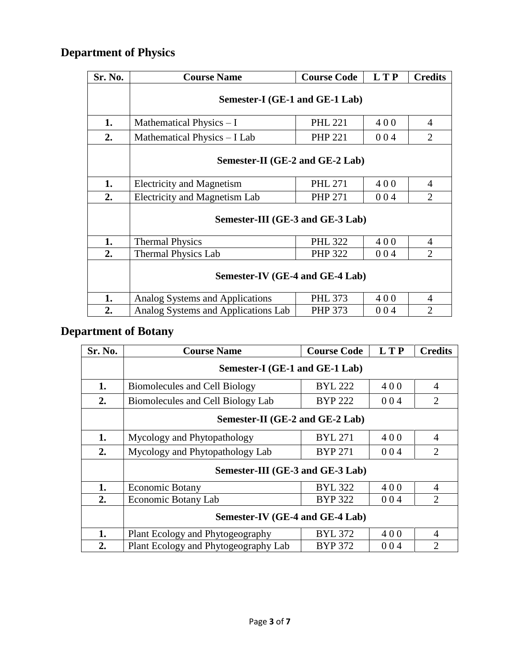# **Department of Physics**

| Sr. No. | <b>Course Name</b>                                    | <b>Course Code</b> | <b>LTP</b> | <b>Credits</b> |  |
|---------|-------------------------------------------------------|--------------------|------------|----------------|--|
|         | Semester-I (GE-1 and GE-1 Lab)                        |                    |            |                |  |
| 1.      | Mathematical Physics $-I$                             | 400                | 4          |                |  |
| 2.      | Mathematical Physics - I Lab                          | <b>PHP 221</b>     | 004        | 2              |  |
|         | Semester-II (GE-2 and GE-2 Lab)                       |                    |            |                |  |
| 1.      | <b>Electricity and Magnetism</b>                      | <b>PHL 271</b>     | 400        | 4              |  |
| 2.      | <b>Electricity and Magnetism Lab</b>                  | <b>PHP 271</b>     | 004        | 2              |  |
|         | Semester-III (GE-3 and GE-3 Lab)                      |                    |            |                |  |
| 1.      | <b>Thermal Physics</b>                                | <b>PHL 322</b>     | 400        | 4              |  |
| 2.      | <b>Thermal Physics Lab</b>                            | <b>PHP 322</b>     | 004        | $\overline{2}$ |  |
|         | Semester-IV (GE-4 and GE-4 Lab)                       |                    |            |                |  |
| 1.      | Analog Systems and Applications                       | <b>PHL 373</b>     | 400        | 4              |  |
| 2.      | Analog Systems and Applications Lab<br>PHP 373<br>004 |                    |            |                |  |

# **Department of Botany**

| Sr. No. | <b>Course Name</b>                                  | <b>Course Code</b> | <b>LTP</b> | <b>Credits</b>              |
|---------|-----------------------------------------------------|--------------------|------------|-----------------------------|
|         | Semester-I (GE-1 and GE-1 Lab)                      |                    |            |                             |
| 1.      | Biomolecules and Cell Biology                       | <b>BYL 222</b>     | 400        | 4                           |
| 2.      | Biomolecules and Cell Biology Lab<br><b>BYP 222</b> |                    | 004        | $\overline{2}$              |
|         | Semester-II (GE-2 and GE-2 Lab)                     |                    |            |                             |
| 1.      | Mycology and Phytopathology                         | <b>BYL 271</b>     | 400        | $\overline{A}$              |
| 2.      | Mycology and Phytopathology Lab<br><b>BYP 271</b>   |                    | 004        | $\overline{2}$              |
|         | Semester-III (GE-3 and GE-3 Lab)                    |                    |            |                             |
| 1.      | <b>Economic Botany</b>                              | <b>BYL 322</b>     | 400        | $\overline{4}$              |
| 2.      | Economic Botany Lab                                 | <b>BYP 322</b>     | 004        | $\overline{2}$              |
|         | Semester-IV (GE-4 and GE-4 Lab)                     |                    |            |                             |
| 1.      | Plant Ecology and Phytogeography                    | <b>BYL 372</b>     | 400        | $\overline{A}$              |
| 2.      | Plant Ecology and Phytogeography Lab                | <b>BYP 372</b>     | 004        | $\mathcal{D}_{\mathcal{L}}$ |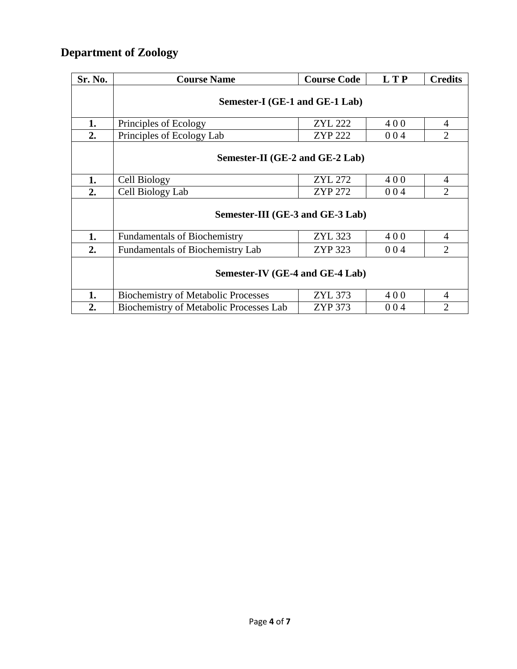## **Department of Zoology**

| Sr. No. | <b>Course Name</b>                                               | <b>Course Code</b> | <b>LTP</b> | <b>Credits</b> |  |  |  |
|---------|------------------------------------------------------------------|--------------------|------------|----------------|--|--|--|
|         | Semester-I (GE-1 and GE-1 Lab)                                   |                    |            |                |  |  |  |
| 1.      | <b>ZYL 222</b><br>400<br>Principles of Ecology                   |                    |            |                |  |  |  |
| 2.      | Principles of Ecology Lab                                        | <b>ZYP 222</b>     | 004        | $\overline{2}$ |  |  |  |
|         | Semester-II (GE-2 and GE-2 Lab)                                  |                    |            |                |  |  |  |
| 1.      | Cell Biology                                                     | <b>ZYL 272</b>     | 400        | $\overline{4}$ |  |  |  |
| 2.      | Cell Biology Lab                                                 | <b>ZYP 272</b>     | 004        | $\overline{2}$ |  |  |  |
|         | Semester-III (GE-3 and GE-3 Lab)                                 |                    |            |                |  |  |  |
| 1.      | <b>Fundamentals of Biochemistry</b>                              | ZYL 323            | 400        | $\overline{4}$ |  |  |  |
| 2.      | ZYP 323<br>004<br><b>Fundamentals of Biochemistry Lab</b>        |                    |            | $\overline{2}$ |  |  |  |
|         | Semester-IV (GE-4 and GE-4 Lab)                                  |                    |            |                |  |  |  |
| 1.      | <b>Biochemistry of Metabolic Processes</b>                       | ZYL 373            | 400        | $\overline{4}$ |  |  |  |
| 2.      | <b>Biochemistry of Metabolic Processes Lab</b><br>ZYP 373<br>004 |                    |            |                |  |  |  |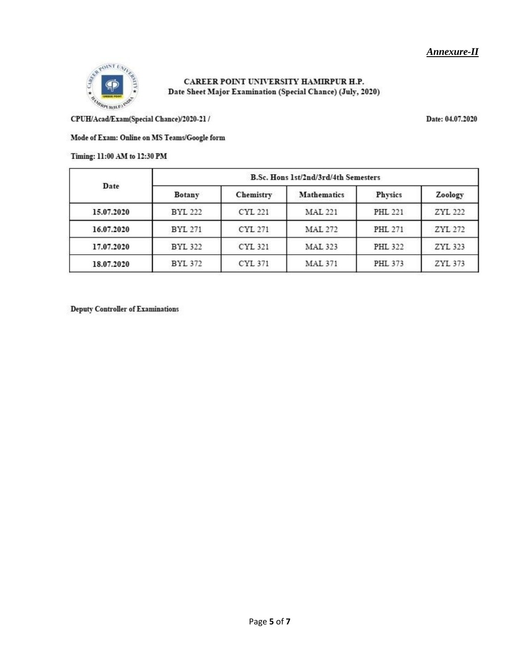

CAREER POINT UNIVERSITY HAMIRPUR H.P. Date Sheet Major Examination (Special Chance) (July, 2020)

CPUH/Acad/Exam(Special Chance)/2020-21 /

#### Mode of Exam: Online on MS Teams/Google form

#### Timing: 11:00 AM to 12:30 PM

| Date       | B.Sc. Hons 1st/2nd/3rd/4th Semesters |           |                |                |         |  |
|------------|--------------------------------------|-----------|----------------|----------------|---------|--|
|            | <b>Botany</b>                        | Chemistry | Mathematics    | Physics        | Zoology |  |
| 15.07.2020 | <b>BYL 222</b>                       | CYL 221   | <b>MAL 221</b> | <b>PHL 221</b> | ZYL 222 |  |
| 16.07.2020 | <b>BYL 271</b>                       | CYL 271   | <b>MAL 272</b> | PHL 271        | ZYL 272 |  |
| 17.07.2020 | <b>BYL 322</b>                       | CYL 321   | <b>MAL 323</b> | <b>PHL 322</b> | ZYL 323 |  |
| 18.07.2020 | <b>BYL 372</b>                       | CYL 371   | <b>MAL 371</b> | PHL 373        | ZYL 373 |  |

**Deputy Controller of Examinations** 

Date: 04.07.2020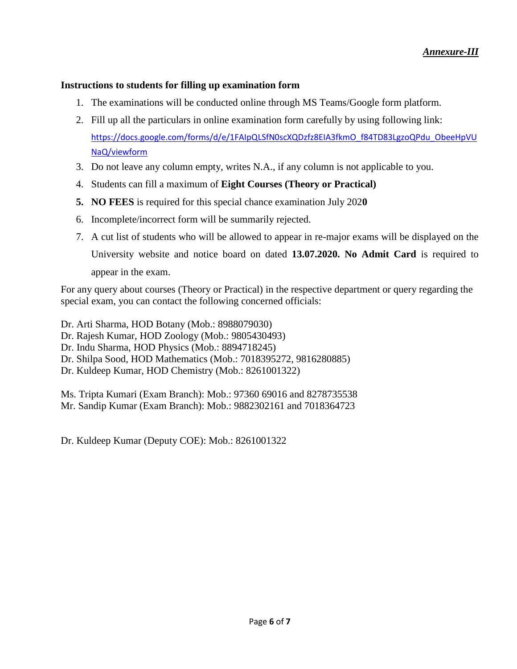#### **Instructions to students for filling up examination form**

- 1. The examinations will be conducted online through MS Teams/Google form platform.
- 2. Fill up all the particulars in online examination form carefully by using following link: [https://docs.google.com/forms/d/e/1FAIpQLSfN0scXQDzfz8EIA3fkmO\\_f84TD83LgzoQPdu\\_ObeeHpVU](https://docs.google.com/forms/d/e/1FAIpQLSfN0scXQDzfz8EIA3fkmO_f84TD83LgzoQPdu_ObeeHpVUNaQ/viewform) [NaQ/viewform](https://docs.google.com/forms/d/e/1FAIpQLSfN0scXQDzfz8EIA3fkmO_f84TD83LgzoQPdu_ObeeHpVUNaQ/viewform)
- 3. Do not leave any column empty, writes N.A., if any column is not applicable to you.
- 4. Students can fill a maximum of **Eight Courses (Theory or Practical)**
- **5. NO FEES** is required for this special chance examination July 202**0**
- 6. Incomplete/incorrect form will be summarily rejected.
- 7. A cut list of students who will be allowed to appear in re-major exams will be displayed on the University website and notice board on dated **13.07.2020. No Admit Card** is required to appear in the exam.

For any query about courses (Theory or Practical) in the respective department or query regarding the special exam, you can contact the following concerned officials:

Dr. Arti Sharma, HOD Botany (Mob.: 8988079030) Dr. Rajesh Kumar, HOD Zoology (Mob.: 9805430493) Dr. Indu Sharma, HOD Physics (Mob.: 8894718245) Dr. Shilpa Sood, HOD Mathematics (Mob.: 7018395272, 9816280885) Dr. Kuldeep Kumar, HOD Chemistry (Mob.: 8261001322)

Ms. Tripta Kumari (Exam Branch): Mob.: 97360 69016 and 8278735538 Mr. Sandip Kumar (Exam Branch): Mob.: 9882302161 and 7018364723

Dr. Kuldeep Kumar (Deputy COE): Mob.: 8261001322